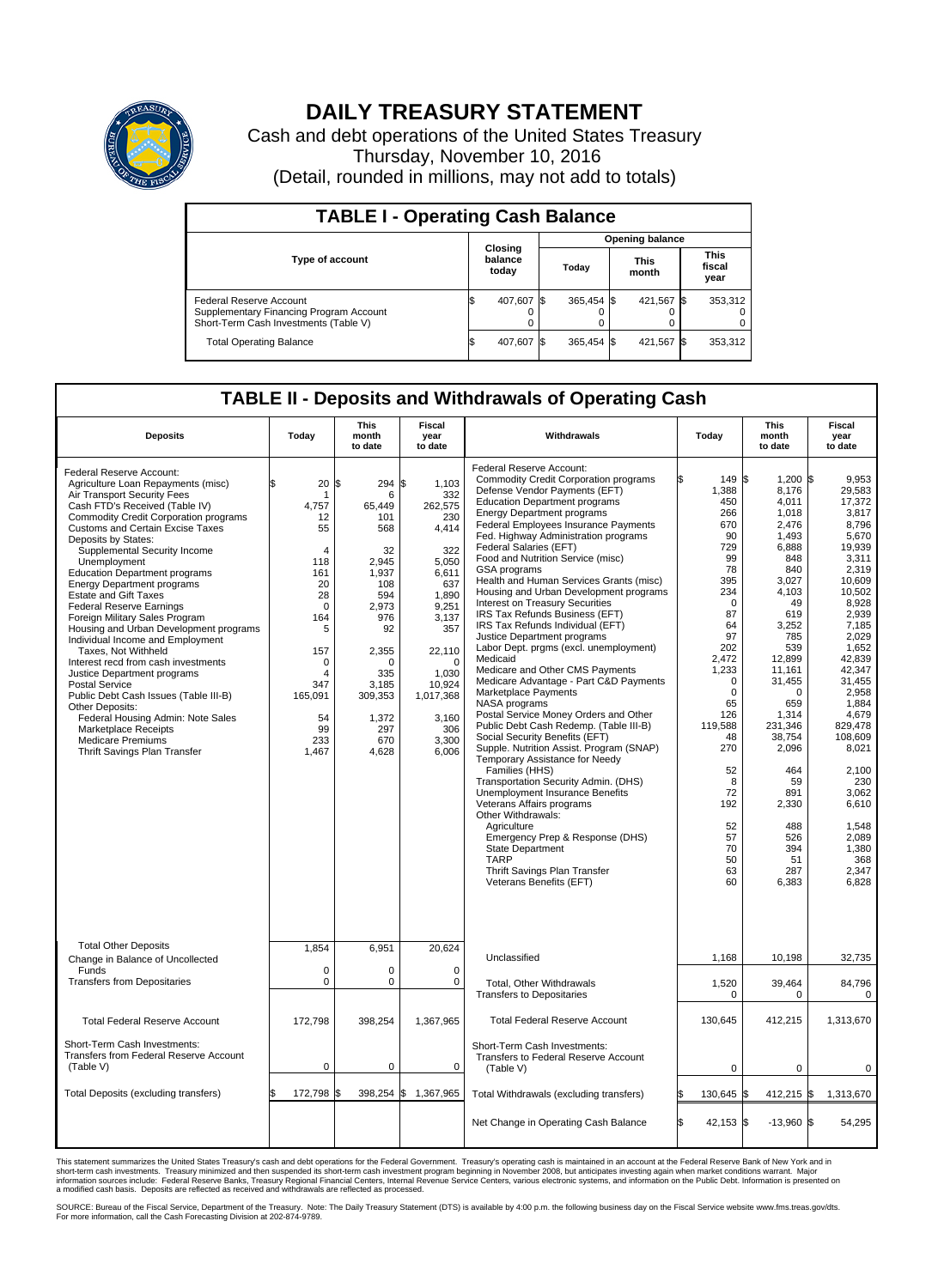

## **DAILY TREASURY STATEMENT**

Cash and debt operations of the United States Treasury Thursday, November 10, 2016 (Detail, rounded in millions, may not add to totals)

| <b>TABLE I - Operating Cash Balance</b>                                                                     |     |                             |                        |            |  |                      |  |                               |  |  |
|-------------------------------------------------------------------------------------------------------------|-----|-----------------------------|------------------------|------------|--|----------------------|--|-------------------------------|--|--|
|                                                                                                             |     |                             | <b>Opening balance</b> |            |  |                      |  |                               |  |  |
| <b>Type of account</b>                                                                                      |     | Closing<br>balance<br>today |                        | Today      |  | <b>This</b><br>month |  | <b>This</b><br>fiscal<br>year |  |  |
| Federal Reserve Account<br>Supplementary Financing Program Account<br>Short-Term Cash Investments (Table V) |     | 407,607                     | 1\$                    | 365.454 \$ |  | 421,567 \$           |  | 353,312                       |  |  |
| <b>Total Operating Balance</b>                                                                              | I\$ | 407,607                     | - IS                   | 365,454 \$ |  | 421,567 \$           |  | 353,312                       |  |  |

## **TABLE II - Deposits and Withdrawals of Operating Cash**

| <b>Deposits</b>                                                                                                                                                                                                                                                                                                                                                                                                                                                                                                                                                                                                                                                                                                                                                                                                                                                              | Today                                                                                                                                                                  | <b>This</b><br>month<br>to date                                                                                                                                             | <b>Fiscal</b><br>year<br>to date                                                                                                                                                                        | Withdrawals                                                                                                                                                                                                                                                                                                                                                                                                                                                                                                                                                                                                                                                                                                                                                                                                                                                                                                                                                                                                                                                                                                                                                                                                                                                                     | Today                                                                                                                                                                                                                                                          | <b>This</b><br>month<br>to date                                                                                                                                                                                                                                                                      | <b>Fiscal</b><br>year<br>to date                                                                                                                                                                                                                                                                                                |
|------------------------------------------------------------------------------------------------------------------------------------------------------------------------------------------------------------------------------------------------------------------------------------------------------------------------------------------------------------------------------------------------------------------------------------------------------------------------------------------------------------------------------------------------------------------------------------------------------------------------------------------------------------------------------------------------------------------------------------------------------------------------------------------------------------------------------------------------------------------------------|------------------------------------------------------------------------------------------------------------------------------------------------------------------------|-----------------------------------------------------------------------------------------------------------------------------------------------------------------------------|---------------------------------------------------------------------------------------------------------------------------------------------------------------------------------------------------------|---------------------------------------------------------------------------------------------------------------------------------------------------------------------------------------------------------------------------------------------------------------------------------------------------------------------------------------------------------------------------------------------------------------------------------------------------------------------------------------------------------------------------------------------------------------------------------------------------------------------------------------------------------------------------------------------------------------------------------------------------------------------------------------------------------------------------------------------------------------------------------------------------------------------------------------------------------------------------------------------------------------------------------------------------------------------------------------------------------------------------------------------------------------------------------------------------------------------------------------------------------------------------------|----------------------------------------------------------------------------------------------------------------------------------------------------------------------------------------------------------------------------------------------------------------|------------------------------------------------------------------------------------------------------------------------------------------------------------------------------------------------------------------------------------------------------------------------------------------------------|---------------------------------------------------------------------------------------------------------------------------------------------------------------------------------------------------------------------------------------------------------------------------------------------------------------------------------|
| Federal Reserve Account:<br>Agriculture Loan Repayments (misc)<br>Air Transport Security Fees<br>Cash FTD's Received (Table IV)<br><b>Commodity Credit Corporation programs</b><br><b>Customs and Certain Excise Taxes</b><br>Deposits by States:<br>Supplemental Security Income<br>Unemployment<br><b>Education Department programs</b><br><b>Energy Department programs</b><br><b>Estate and Gift Taxes</b><br><b>Federal Reserve Earnings</b><br>Foreign Military Sales Program<br>Housing and Urban Development programs<br>Individual Income and Employment<br>Taxes. Not Withheld<br>Interest recd from cash investments<br>Justice Department programs<br><b>Postal Service</b><br>Public Debt Cash Issues (Table III-B)<br>Other Deposits:<br>Federal Housing Admin: Note Sales<br>Marketplace Receipts<br><b>Medicare Premiums</b><br>Thrift Savings Plan Transfer | \$<br>20<br>-1<br>4.757<br>12<br>55<br>4<br>118<br>161<br>20<br>28<br>$\mathbf 0$<br>164<br>5<br>157<br>$\mathbf 0$<br>4<br>347<br>165,091<br>54<br>99<br>233<br>1,467 | \$<br>294<br>6<br>65.449<br>101<br>568<br>32<br>2,945<br>1,937<br>108<br>594<br>2,973<br>976<br>92<br>2,355<br>O<br>335<br>3,185<br>309,353<br>1,372<br>297<br>670<br>4,628 | \$<br>1,103<br>332<br>262,575<br>230<br>4,414<br>322<br>5,050<br>6,611<br>637<br>1,890<br>9,251<br>3,137<br>357<br>22,110<br>$\Omega$<br>1,030<br>10,924<br>1,017,368<br>3,160<br>306<br>3,300<br>6,006 | Federal Reserve Account:<br><b>Commodity Credit Corporation programs</b><br>Defense Vendor Payments (EFT)<br><b>Education Department programs</b><br><b>Energy Department programs</b><br><b>Federal Employees Insurance Payments</b><br>Fed. Highway Administration programs<br>Federal Salaries (EFT)<br>Food and Nutrition Service (misc)<br>GSA programs<br>Health and Human Services Grants (misc)<br>Housing and Urban Development programs<br>Interest on Treasury Securities<br>IRS Tax Refunds Business (EFT)<br>IRS Tax Refunds Individual (EFT)<br>Justice Department programs<br>Labor Dept. prgms (excl. unemployment)<br>Medicaid<br>Medicare and Other CMS Payments<br>Medicare Advantage - Part C&D Payments<br>Marketplace Payments<br>NASA programs<br>Postal Service Money Orders and Other<br>Public Debt Cash Redemp. (Table III-B)<br>Social Security Benefits (EFT)<br>Supple. Nutrition Assist. Program (SNAP)<br>Temporary Assistance for Needy<br>Families (HHS)<br>Transportation Security Admin. (DHS)<br>Unemployment Insurance Benefits<br>Veterans Affairs programs<br>Other Withdrawals:<br>Agriculture<br>Emergency Prep & Response (DHS)<br><b>State Department</b><br><b>TARP</b><br>Thrift Savings Plan Transfer<br>Veterans Benefits (EFT) | 149 \$<br>1,388<br>450<br>266<br>670<br>90<br>729<br>99<br>78<br>395<br>234<br>$\Omega$<br>87<br>64<br>97<br>202<br>2.472<br>1,233<br>$\Omega$<br>$\mathbf 0$<br>65<br>126<br>119,588<br>48<br>270<br>52<br>8<br>72<br>192<br>52<br>57<br>70<br>50<br>63<br>60 | $1.200$ \$<br>8,176<br>4,011<br>1,018<br>2,476<br>1,493<br>6,888<br>848<br>840<br>3,027<br>4,103<br>49<br>619<br>3,252<br>785<br>539<br>12,899<br>11,161<br>31,455<br>$\Omega$<br>659<br>1,314<br>231,346<br>38,754<br>2,096<br>464<br>59<br>891<br>2,330<br>488<br>526<br>394<br>51<br>287<br>6,383 | 9.953<br>29.583<br>17,372<br>3,817<br>8.796<br>5,670<br>19,939<br>3,311<br>2,319<br>10.609<br>10,502<br>8,928<br>2,939<br>7,185<br>2.029<br>1,652<br>42.839<br>42,347<br>31.455<br>2,958<br>1.884<br>4,679<br>829,478<br>108,609<br>8,021<br>2,100<br>230<br>3.062<br>6,610<br>1,548<br>2,089<br>1,380<br>368<br>2,347<br>6,828 |
| <b>Total Other Deposits</b><br>Change in Balance of Uncollected                                                                                                                                                                                                                                                                                                                                                                                                                                                                                                                                                                                                                                                                                                                                                                                                              | 1,854                                                                                                                                                                  | 6,951                                                                                                                                                                       | 20.624                                                                                                                                                                                                  | Unclassified                                                                                                                                                                                                                                                                                                                                                                                                                                                                                                                                                                                                                                                                                                                                                                                                                                                                                                                                                                                                                                                                                                                                                                                                                                                                    | 1,168                                                                                                                                                                                                                                                          | 10,198                                                                                                                                                                                                                                                                                               | 32,735                                                                                                                                                                                                                                                                                                                          |
| Funds<br><b>Transfers from Depositaries</b>                                                                                                                                                                                                                                                                                                                                                                                                                                                                                                                                                                                                                                                                                                                                                                                                                                  | $\mathbf 0$<br>$\mathbf 0$                                                                                                                                             | 0<br>0                                                                                                                                                                      | 0<br>$\mathbf 0$                                                                                                                                                                                        | Total, Other Withdrawals<br><b>Transfers to Depositaries</b>                                                                                                                                                                                                                                                                                                                                                                                                                                                                                                                                                                                                                                                                                                                                                                                                                                                                                                                                                                                                                                                                                                                                                                                                                    | 1,520<br>0                                                                                                                                                                                                                                                     | 39,464<br>0                                                                                                                                                                                                                                                                                          | 84,796<br>0                                                                                                                                                                                                                                                                                                                     |
| <b>Total Federal Reserve Account</b>                                                                                                                                                                                                                                                                                                                                                                                                                                                                                                                                                                                                                                                                                                                                                                                                                                         | 172,798                                                                                                                                                                | 398,254                                                                                                                                                                     | 1,367,965                                                                                                                                                                                               | <b>Total Federal Reserve Account</b>                                                                                                                                                                                                                                                                                                                                                                                                                                                                                                                                                                                                                                                                                                                                                                                                                                                                                                                                                                                                                                                                                                                                                                                                                                            | 130,645                                                                                                                                                                                                                                                        | 412,215                                                                                                                                                                                                                                                                                              | 1,313,670                                                                                                                                                                                                                                                                                                                       |
| Short-Term Cash Investments:<br>Transfers from Federal Reserve Account<br>(Table V)                                                                                                                                                                                                                                                                                                                                                                                                                                                                                                                                                                                                                                                                                                                                                                                          | $\mathbf 0$                                                                                                                                                            | 0                                                                                                                                                                           | 0                                                                                                                                                                                                       | Short-Term Cash Investments:<br>Transfers to Federal Reserve Account<br>(Table V)                                                                                                                                                                                                                                                                                                                                                                                                                                                                                                                                                                                                                                                                                                                                                                                                                                                                                                                                                                                                                                                                                                                                                                                               | $\mathbf 0$                                                                                                                                                                                                                                                    | $\mathbf 0$                                                                                                                                                                                                                                                                                          | 0                                                                                                                                                                                                                                                                                                                               |
| Total Deposits (excluding transfers)                                                                                                                                                                                                                                                                                                                                                                                                                                                                                                                                                                                                                                                                                                                                                                                                                                         | 172,798<br>\$.                                                                                                                                                         | 398,254<br>\$                                                                                                                                                               | \$<br>1,367,965                                                                                                                                                                                         | Total Withdrawals (excluding transfers)                                                                                                                                                                                                                                                                                                                                                                                                                                                                                                                                                                                                                                                                                                                                                                                                                                                                                                                                                                                                                                                                                                                                                                                                                                         | 130,645 \$                                                                                                                                                                                                                                                     | $412,215$ \$                                                                                                                                                                                                                                                                                         | 1,313,670                                                                                                                                                                                                                                                                                                                       |
|                                                                                                                                                                                                                                                                                                                                                                                                                                                                                                                                                                                                                                                                                                                                                                                                                                                                              |                                                                                                                                                                        |                                                                                                                                                                             |                                                                                                                                                                                                         | Net Change in Operating Cash Balance                                                                                                                                                                                                                                                                                                                                                                                                                                                                                                                                                                                                                                                                                                                                                                                                                                                                                                                                                                                                                                                                                                                                                                                                                                            | Ŝ.<br>$42,153$ \$                                                                                                                                                                                                                                              | $-13,960$ \$                                                                                                                                                                                                                                                                                         | 54,295                                                                                                                                                                                                                                                                                                                          |

This statement summarizes the United States Treasury's cash and debt operations for the Federal Government. Treasury's operating cash is maintained in an account at the Federal Reserve Bank of New York and in<br>short-term ca

SOURCE: Bureau of the Fiscal Service, Department of the Treasury. Note: The Daily Treasury Statement (DTS) is available by 4:00 p.m. the following business day on the Fiscal Service website www.fms.treas.gov/dts.<br>For more